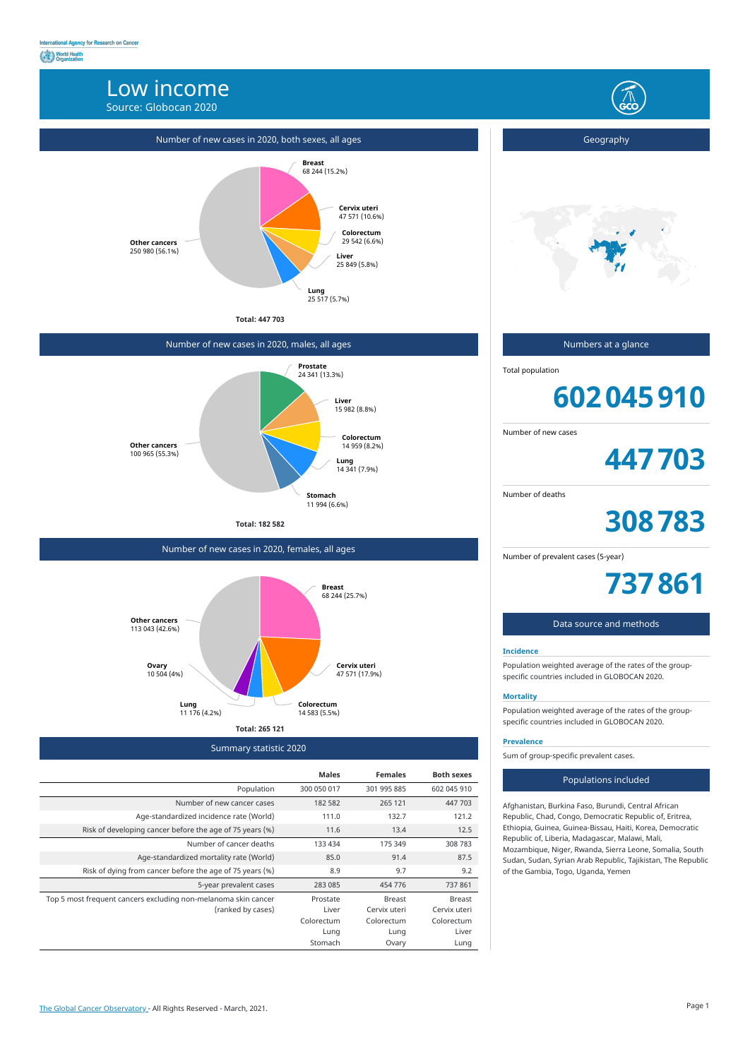# Low income

Source: Globocan 2020



Summary statistic 2020

|                                                                | <b>Males</b> | <b>Females</b> | <b>Both sexes</b> |
|----------------------------------------------------------------|--------------|----------------|-------------------|
| Population                                                     | 300 050 017  | 301 995 885    | 602 045 910       |
| Number of new cancer cases                                     | 182 582      | 265 121        | 447 703           |
| Age-standardized incidence rate (World)                        | 111.0        | 132.7          | 121.2             |
| Risk of developing cancer before the age of 75 years (%)       | 11.6         | 13.4           | 12.5              |
| Number of cancer deaths                                        | 133 434      | 175 349        | 308 783           |
| Age-standardized mortality rate (World)                        | 85.0         | 91.4           | 87.5              |
| Risk of dying from cancer before the age of 75 years (%)       | 8.9          | 9.7            | 9.2               |
| 5-year prevalent cases                                         | 283 085      | 454 776        | 737861            |
| Top 5 most frequent cancers excluding non-melanoma skin cancer | Prostate     | <b>Breast</b>  | <b>Breast</b>     |
| (ranked by cases)                                              | Liver        | Cervix uteri   | Cervix uteri      |
|                                                                | Colorectum   | Colorectum     | Colorectum        |
|                                                                | Lung         | Lung           | Liver             |
|                                                                | Stomach      | Ovary          | Lung              |

# Number of new cases in 2020, both sexes, all ages





# Number of new cases in 2020, males, all ages

**Total: 182 582**



Number of new cases in 2020, females, all ages



Geography

Numbers at a glance

Total population

# **602045910**

Number of new cases

**447703**

Number of deaths

**308783**

Number of prevalent cases (5-year)

**737861**

# Data source and methods

### **Incidence**

Population weighted average of the rates of the groupspecific countries included in GLOBOCAN 2020.

### **Mortality**

Population weighted average of the rates of the groupspecific countries included in GLOBOCAN 2020.

#### **Prevalence**

Sum of group-specific prevalent cases.

#### Populations included

Afghanistan, Burkina Faso, Burundi, Central African Republic, Chad, Congo, Democratic Republic of, Eritrea, Ethiopia, Guinea, Guinea-Bissau, Haiti, Korea, Democratic Republic of, Liberia, Madagascar, Malawi, Mali, Mozambique, Niger, Rwanda, Sierra Leone, Somalia, South Sudan, Sudan, Syrian Arab Republic, Tajikistan, The Republic of the Gambia, Togo, Uganda, Yemen